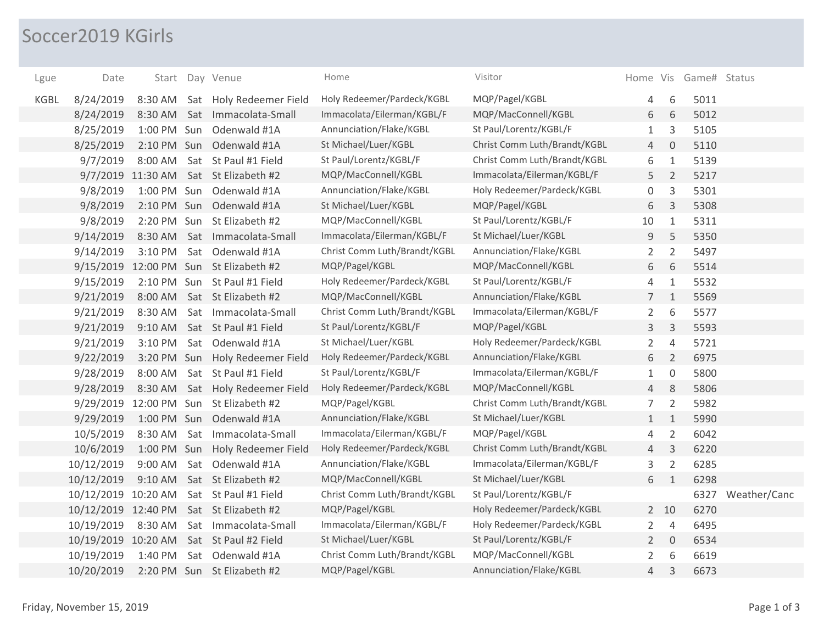## Soccer2019 KGirls

| Lgue        | Date                |                   |     | Start Day Venue                         | Home                         | Visitor                      |                |                | Home Vis Game# Status |              |
|-------------|---------------------|-------------------|-----|-----------------------------------------|------------------------------|------------------------------|----------------|----------------|-----------------------|--------------|
| <b>KGBL</b> | 8/24/2019           |                   |     | 8:30 AM Sat Holy Redeemer Field         | Holy Redeemer/Pardeck/KGBL   | MQP/Pagel/KGBL               | 4              | 6              | 5011                  |              |
|             | 8/24/2019           |                   |     | 8:30 AM Sat Immacolata-Small            | Immacolata/Eilerman/KGBL/F   | MQP/MacConnell/KGBL          | 6              | 6              | 5012                  |              |
|             | 8/25/2019           | 1:00 PM Sun       |     | Odenwald #1A                            | Annunciation/Flake/KGBL      | St Paul/Lorentz/KGBL/F       | $\mathbf{1}$   | 3              | 5105                  |              |
|             | 8/25/2019           | 2:10 PM Sun       |     | Odenwald #1A                            | St Michael/Luer/KGBL         | Christ Comm Luth/Brandt/KGBL | 4              | $\overline{0}$ | 5110                  |              |
|             | 9/7/2019            | 8:00 AM           |     | Sat St Paul #1 Field                    | St Paul/Lorentz/KGBL/F       | Christ Comm Luth/Brandt/KGBL | 6              | $1\,$          | 5139                  |              |
|             |                     | 9/7/2019 11:30 AM |     | Sat St Elizabeth #2                     | MQP/MacConnell/KGBL          | Immacolata/Eilerman/KGBL/F   | 5              | $\overline{2}$ | 5217                  |              |
|             | 9/8/2019            |                   |     | 1:00 PM Sun Odenwald #1A                | Annunciation/Flake/KGBL      | Holy Redeemer/Pardeck/KGBL   | 0              | $\mathsf 3$    | 5301                  |              |
|             | 9/8/2019            | 2:10 PM Sun       |     | Odenwald #1A                            | St Michael/Luer/KGBL         | MQP/Pagel/KGBL               | 6              | $\mathsf 3$    | 5308                  |              |
|             | 9/8/2019            | 2:20 PM Sun       |     | St Elizabeth #2                         | MQP/MacConnell/KGBL          | St Paul/Lorentz/KGBL/F       | 10             | $1\,$          | 5311                  |              |
|             | 9/14/2019           | 8:30 AM           | Sat | Immacolata-Small                        | Immacolata/Eilerman/KGBL/F   | St Michael/Luer/KGBL         | 9              | 5              | 5350                  |              |
|             | 9/14/2019           | 3:10 PM           |     | Sat Odenwald #1A                        | Christ Comm Luth/Brandt/KGBL | Annunciation/Flake/KGBL      | $\overline{2}$ | $\overline{2}$ | 5497                  |              |
|             |                     |                   |     | 9/15/2019 12:00 PM Sun St Elizabeth #2  | MQP/Pagel/KGBL               | MQP/MacConnell/KGBL          | 6              | 6              | 5514                  |              |
|             | 9/15/2019           |                   |     | 2:10 PM Sun St Paul #1 Field            | Holy Redeemer/Pardeck/KGBL   | St Paul/Lorentz/KGBL/F       | 4              | $1\,$          | 5532                  |              |
|             | 9/21/2019           | 8:00 AM           |     | Sat St Elizabeth #2                     | MQP/MacConnell/KGBL          | Annunciation/Flake/KGBL      | 7 <sup>1</sup> | $\mathbf{1}$   | 5569                  |              |
|             | 9/21/2019           | 8:30 AM           |     | Sat Immacolata-Small                    | Christ Comm Luth/Brandt/KGBL | Immacolata/Eilerman/KGBL/F   | $\overline{2}$ | 6              | 5577                  |              |
|             | 9/21/2019           | 9:10 AM           |     | Sat St Paul #1 Field                    | St Paul/Lorentz/KGBL/F       | MQP/Pagel/KGBL               | 3              | $\mathsf{3}$   | 5593                  |              |
|             | 9/21/2019           | 3:10 PM           |     | Sat Odenwald #1A                        | St Michael/Luer/KGBL         | Holy Redeemer/Pardeck/KGBL   | $\overline{2}$ | $\sqrt{4}$     | 5721                  |              |
|             | 9/22/2019           | 3:20 PM Sun       |     | Holy Redeemer Field                     | Holy Redeemer/Pardeck/KGBL   | Annunciation/Flake/KGBL      | 6              | $\overline{2}$ | 6975                  |              |
|             | 9/28/2019           | 8:00 AM           |     | Sat St Paul #1 Field                    | St Paul/Lorentz/KGBL/F       | Immacolata/Eilerman/KGBL/F   | $\mathbf{1}$   | $\mathbf 0$    | 5800                  |              |
|             | 9/28/2019           | 8:30 AM           |     | Sat Holy Redeemer Field                 | Holy Redeemer/Pardeck/KGBL   | MQP/MacConnell/KGBL          | 4              | 8              | 5806                  |              |
|             | 9/29/2019           |                   |     | 12:00 PM Sun St Elizabeth #2            | MQP/Pagel/KGBL               | Christ Comm Luth/Brandt/KGBL | $\overline{7}$ | $\overline{2}$ | 5982                  |              |
|             | 9/29/2019           | 1:00 PM Sun       |     | Odenwald #1A                            | Annunciation/Flake/KGBL      | St Michael/Luer/KGBL         | 1              | $\mathbf{1}$   | 5990                  |              |
|             | 10/5/2019           | 8:30 AM           | Sat | Immacolata-Small                        | Immacolata/Eilerman/KGBL/F   | MQP/Pagel/KGBL               | 4              | $\overline{2}$ | 6042                  |              |
|             | 10/6/2019           | 1:00 PM Sun       |     | Holy Redeemer Field                     | Holy Redeemer/Pardeck/KGBL   | Christ Comm Luth/Brandt/KGBL | $\overline{4}$ | $\mathsf 3$    | 6220                  |              |
|             | 10/12/2019          | 9:00 AM           |     | Sat Odenwald #1A                        | Annunciation/Flake/KGBL      | Immacolata/Eilerman/KGBL/F   | 3              | $\overline{2}$ | 6285                  |              |
|             | 10/12/2019          | 9:10 AM           |     | Sat St Elizabeth #2                     | MQP/MacConnell/KGBL          | St Michael/Luer/KGBL         | 6              | $\mathbf{1}$   | 6298                  |              |
|             | 10/12/2019 10:20 AM |                   |     | Sat St Paul #1 Field                    | Christ Comm Luth/Brandt/KGBL | St Paul/Lorentz/KGBL/F       |                |                | 6327                  | Weather/Canc |
|             |                     |                   |     | 10/12/2019 12:40 PM Sat St Elizabeth #2 | MQP/Pagel/KGBL               | Holy Redeemer/Pardeck/KGBL   |                | $2 \quad 10$   | 6270                  |              |
|             | 10/19/2019          |                   |     | 8:30 AM Sat Immacolata-Small            | Immacolata/Eilerman/KGBL/F   | Holy Redeemer/Pardeck/KGBL   | $\overline{2}$ | $\overline{4}$ | 6495                  |              |
|             | 10/19/2019 10:20 AM |                   |     | Sat St Paul #2 Field                    | St Michael/Luer/KGBL         | St Paul/Lorentz/KGBL/F       | $2^{\circ}$    | $\overline{0}$ | 6534                  |              |
|             | 10/19/2019          | 1:40 PM           |     | Sat Odenwald #1A                        | Christ Comm Luth/Brandt/KGBL | MQP/MacConnell/KGBL          | $\overline{2}$ | 6              | 6619                  |              |
|             | 10/20/2019          |                   |     | 2:20 PM Sun St Elizabeth #2             | MQP/Pagel/KGBL               | Annunciation/Flake/KGBL      | 4              | $\mathsf{3}$   | 6673                  |              |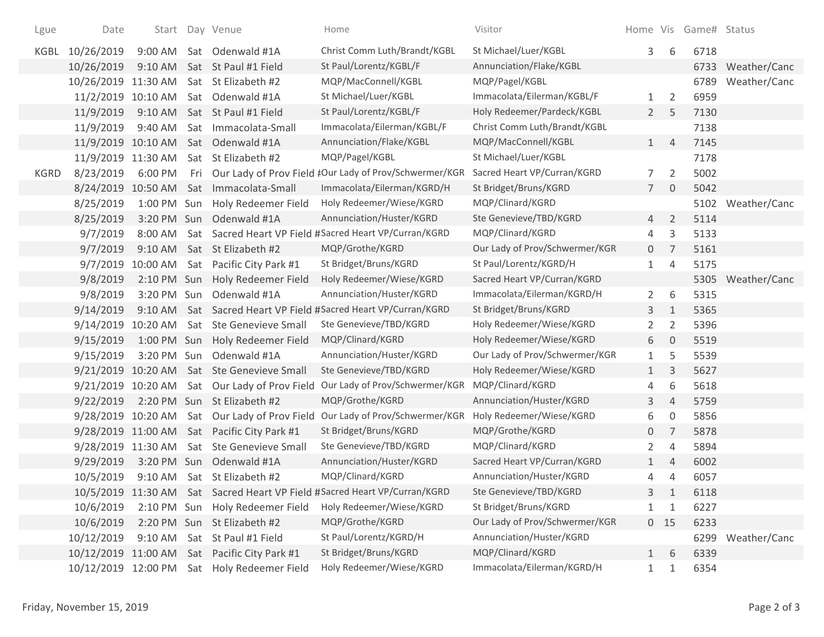| Lgue        | Date                | Start             | Day Venue                                    | Home                                                                      | Visitor                        |                |                | Home Vis Game# Status |              |
|-------------|---------------------|-------------------|----------------------------------------------|---------------------------------------------------------------------------|--------------------------------|----------------|----------------|-----------------------|--------------|
| KGBL        | 10/26/2019          | 9:00 AM           | Sat Odenwald #1A                             | Christ Comm Luth/Brandt/KGBL                                              | St Michael/Luer/KGBL           | 3              | 6              | 6718                  |              |
|             | 10/26/2019          | 9:10 AM           | Sat St Paul #1 Field                         | St Paul/Lorentz/KGBL/F                                                    | Annunciation/Flake/KGBL        |                |                | 6733                  | Weather/Canc |
|             | 10/26/2019 11:30 AM |                   | Sat St Elizabeth #2                          | MQP/MacConnell/KGBL                                                       | MQP/Pagel/KGBL                 |                |                | 6789                  | Weather/Canc |
|             | 11/2/2019 10:10 AM  |                   | Sat Odenwald #1A                             | St Michael/Luer/KGBL                                                      | Immacolata/Eilerman/KGBL/F     | $\mathbf{1}$   | 2              | 6959                  |              |
|             | 11/9/2019           | $9:10$ AM         | Sat St Paul #1 Field                         | St Paul/Lorentz/KGBL/F                                                    | Holy Redeemer/Pardeck/KGBL     | $2^{\circ}$    | 5              | 7130                  |              |
|             | 11/9/2019           | 9:40 AM           | Sat Immacolata-Small                         | Immacolata/Eilerman/KGBL/F                                                | Christ Comm Luth/Brandt/KGBL   |                |                | 7138                  |              |
|             |                     |                   | 11/9/2019 10:10 AM Sat Odenwald #1A          | Annunciation/Flake/KGBL                                                   | MQP/MacConnell/KGBL            | 1              | $\overline{4}$ | 7145                  |              |
|             | 11/9/2019 11:30 AM  |                   | Sat St Elizabeth #2                          | MQP/Pagel/KGBL                                                            | St Michael/Luer/KGBL           |                |                | 7178                  |              |
| <b>KGRD</b> | 8/23/2019           | 6:00 PM           |                                              | Fri Our Lady of Prov Field #Our Lady of Prov/Schwermer/KGR                | Sacred Heart VP/Curran/KGRD    | 7              | $\overline{2}$ | 5002                  |              |
|             | 8/24/2019 10:50 AM  |                   | Sat Immacolata-Small                         | Immacolata/Eilerman/KGRD/H                                                | St Bridget/Bruns/KGRD          | $7^{\circ}$    | $\overline{0}$ | 5042                  |              |
|             | 8/25/2019           | 1:00 PM Sun       | Holy Redeemer Field                          | Holy Redeemer/Wiese/KGRD                                                  | MQP/Clinard/KGRD               |                |                | 5102                  | Weather/Canc |
|             | 8/25/2019           | 3:20 PM Sun       | Odenwald #1A                                 | Annunciation/Huster/KGRD                                                  | Ste Genevieve/TBD/KGRD         | 4              | $\overline{2}$ | 5114                  |              |
|             | 9/7/2019            | 8:00 AM           |                                              | Sat Sacred Heart VP Field #Sacred Heart VP/Curran/KGRD                    | MQP/Clinard/KGRD               | 4              | 3              | 5133                  |              |
|             | 9/7/2019            | 9:10 AM           | Sat St Elizabeth #2                          | MQP/Grothe/KGRD                                                           | Our Lady of Prov/Schwermer/KGR | $\overline{0}$ | $\overline{7}$ | 5161                  |              |
|             |                     | 9/7/2019 10:00 AM | Sat Pacific City Park #1                     | St Bridget/Bruns/KGRD                                                     | St Paul/Lorentz/KGRD/H         | $\mathbf{1}$   | $\overline{4}$ | 5175                  |              |
|             | 9/8/2019            |                   | 2:10 PM Sun Holy Redeemer Field              | Holy Redeemer/Wiese/KGRD                                                  | Sacred Heart VP/Curran/KGRD    |                |                | 5305                  | Weather/Canc |
|             | 9/8/2019            |                   | 3:20 PM Sun Odenwald #1A                     | Annunciation/Huster/KGRD                                                  | Immacolata/Eilerman/KGRD/H     | $\overline{2}$ | 6              | 5315                  |              |
|             | 9/14/2019           | $9:10$ AM         |                                              | Sat Sacred Heart VP Field #Sacred Heart VP/Curran/KGRD                    | St Bridget/Bruns/KGRD          | 3              | $\mathbf{1}$   | 5365                  |              |
|             | 9/14/2019 10:20 AM  |                   | Sat Ste Genevieve Small                      | Ste Genevieve/TBD/KGRD                                                    | Holy Redeemer/Wiese/KGRD       | $\overline{2}$ | $\overline{2}$ | 5396                  |              |
|             | 9/15/2019           | 1:00 PM Sun       | Holy Redeemer Field                          | MQP/Clinard/KGRD                                                          | Holy Redeemer/Wiese/KGRD       | 6              | $\overline{0}$ | 5519                  |              |
|             | 9/15/2019           | 3:20 PM Sun       | Odenwald #1A                                 | Annunciation/Huster/KGRD                                                  | Our Lady of Prov/Schwermer/KGR | $\mathbf{1}$   | 5              | 5539                  |              |
|             |                     |                   | 9/21/2019 10:20 AM Sat Ste Genevieve Small   | Ste Genevieve/TBD/KGRD                                                    | Holy Redeemer/Wiese/KGRD       | $\mathbf{1}$   | 3              | 5627                  |              |
|             | 9/21/2019 10:20 AM  |                   | Sat Our Lady of Prov Field                   | Our Lady of Prov/Schwermer/KGR                                            | MQP/Clinard/KGRD               | 4              | 6              | 5618                  |              |
|             | 9/22/2019           |                   | 2:20 PM Sun St Elizabeth #2                  | MQP/Grothe/KGRD                                                           | Annunciation/Huster/KGRD       | 3              | $\overline{4}$ | 5759                  |              |
|             | 9/28/2019 10:20 AM  |                   | Sat Our Lady of Prov Field                   | Our Lady of Prov/Schwermer/KGR                                            | Holy Redeemer/Wiese/KGRD       | 6              | $\mathbf 0$    | 5856                  |              |
|             |                     |                   | 9/28/2019 11:00 AM Sat Pacific City Park #1  | St Bridget/Bruns/KGRD                                                     | MQP/Grothe/KGRD                | 0              | $\overline{7}$ | 5878                  |              |
|             | 9/28/2019 11:30 AM  |                   | Sat Ste Genevieve Small                      | Ste Genevieve/TBD/KGRD                                                    | MQP/Clinard/KGRD               | 2              | 4              | 5894                  |              |
|             | 9/29/2019           |                   | 3:20 PM Sun Odenwald #1A                     | Annunciation/Huster/KGRD                                                  | Sacred Heart VP/Curran/KGRD    | $\mathbf{1}$   | 4              | 6002                  |              |
|             | 10/5/2019           |                   | 9:10 AM Sat St Elizabeth #2                  | MQP/Clinard/KGRD                                                          | Annunciation/Huster/KGRD       | 4              | 4              | 6057                  |              |
|             |                     |                   |                                              | 10/5/2019 11:30 AM Sat Sacred Heart VP Field #Sacred Heart VP/Curran/KGRD | Ste Genevieve/TBD/KGRD         | 3              |                | 6118                  |              |
|             | 10/6/2019           |                   | 2:10 PM Sun Holy Redeemer Field              | Holy Redeemer/Wiese/KGRD                                                  | St Bridget/Bruns/KGRD          | $\mathbf{1}$   | $\mathbf{1}$   | 6227                  |              |
|             | 10/6/2019           |                   | 2:20 PM Sun St Elizabeth #2                  | MQP/Grothe/KGRD                                                           | Our Lady of Prov/Schwermer/KGR |                | $0$ 15         | 6233                  |              |
|             | 10/12/2019          | 9:10 AM           | Sat St Paul #1 Field                         | St Paul/Lorentz/KGRD/H                                                    | Annunciation/Huster/KGRD       |                |                | 6299                  | Weather/Canc |
|             |                     |                   | 10/12/2019 11:00 AM Sat Pacific City Park #1 | St Bridget/Bruns/KGRD                                                     | MQP/Clinard/KGRD               | 1              | 6              | 6339                  |              |
|             |                     |                   | 10/12/2019 12:00 PM Sat Holy Redeemer Field  | Holy Redeemer/Wiese/KGRD                                                  | Immacolata/Eilerman/KGRD/H     | $\mathbf{1}$   | 1              | 6354                  |              |